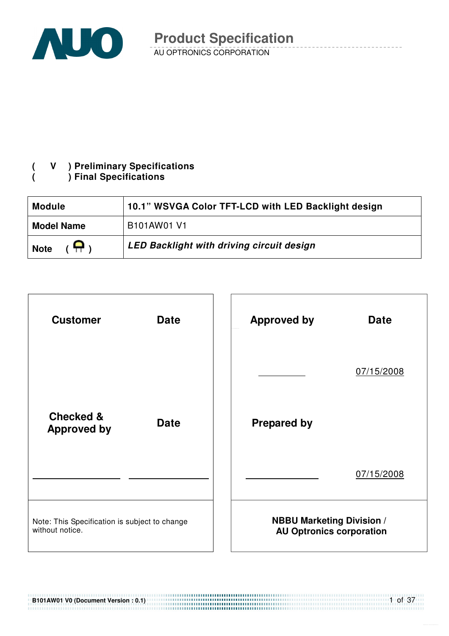

#### **( V ) Preliminary Specifications ( ) Final Specifications**

| <b>Module</b>     | 10.1" WSVGA Color TFT-LCD with LED Backlight design |
|-------------------|-----------------------------------------------------|
| <b>Model Name</b> | B101AW01 V1                                         |
| Я,<br><b>Note</b> | LED Backlight with driving circuit design           |



**B101AW01 V0 (Document Version : 0.1)** 

1 of 37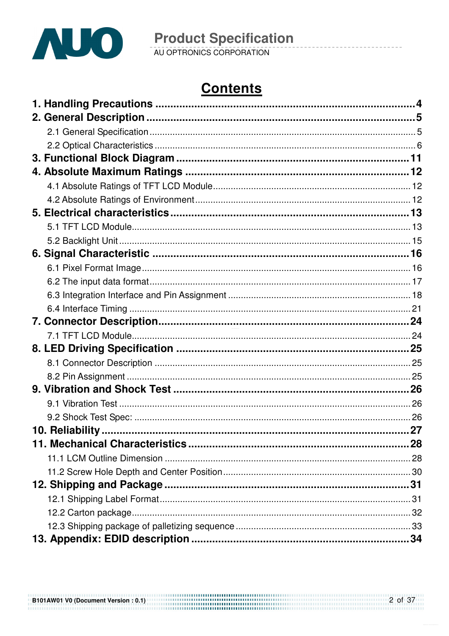

# **Contents**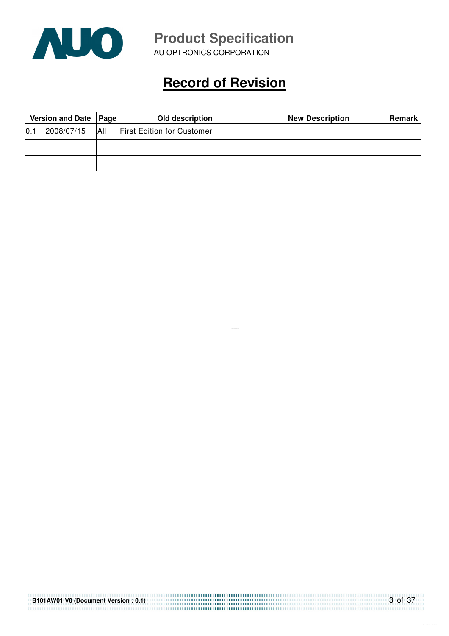

AU OPTRONICS CORPORATION

# **Record of Revision**

|                  | Version and Date   Page |     | Old description                   | <b>New Description</b> | Remark |
|------------------|-------------------------|-----|-----------------------------------|------------------------|--------|
| $\overline{0.1}$ | 2008/07/15              | All | <b>First Edition for Customer</b> |                        |        |
|                  |                         |     |                                   |                        |        |
|                  |                         |     |                                   |                        |        |

| B101AW01 V0 (Document Version: 0.1) | $-3$ of 37 |
|-------------------------------------|------------|
|                                     |            |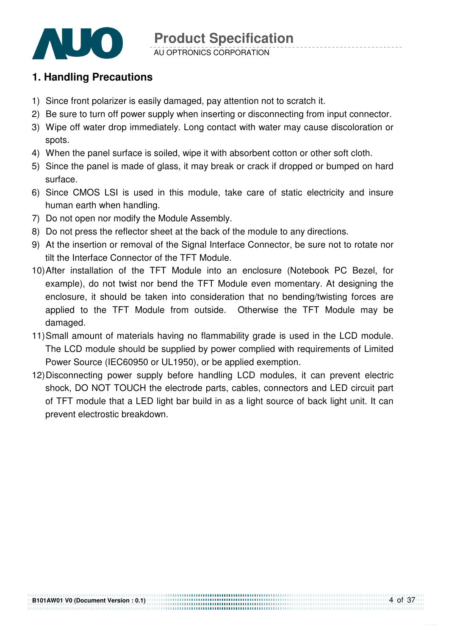

#### AU OPTRONICS CORPORATION

## **1. Handling Precautions**

- 1) Since front polarizer is easily damaged, pay attention not to scratch it.
- 2) Be sure to turn off power supply when inserting or disconnecting from input connector.
- 3) Wipe off water drop immediately. Long contact with water may cause discoloration or spots.
- 4) When the panel surface is soiled, wipe it with absorbent cotton or other soft cloth.
- 5) Since the panel is made of glass, it may break or crack if dropped or bumped on hard surface.
- 6) Since CMOS LSI is used in this module, take care of static electricity and insure human earth when handling.
- 7) Do not open nor modify the Module Assembly.
- 8) Do not press the reflector sheet at the back of the module to any directions.
- 9) At the insertion or removal of the Signal Interface Connector, be sure not to rotate nor tilt the Interface Connector of the TFT Module.
- 10) After installation of the TFT Module into an enclosure (Notebook PC Bezel, for example), do not twist nor bend the TFT Module even momentary. At designing the enclosure, it should be taken into consideration that no bending/twisting forces are applied to the TFT Module from outside. Otherwise the TFT Module may be damaged.
- 11) Small amount of materials having no flammability grade is used in the LCD module. The LCD module should be supplied by power complied with requirements of Limited Power Source (IEC60950 or UL1950), or be applied exemption.
- 12) Disconnecting power supply before handling LCD modules, it can prevent electric shock, DO NOT TOUCH the electrode parts, cables, connectors and LED circuit part of TFT module that a LED light bar build in as a light source of back light unit. It can prevent electrostic breakdown.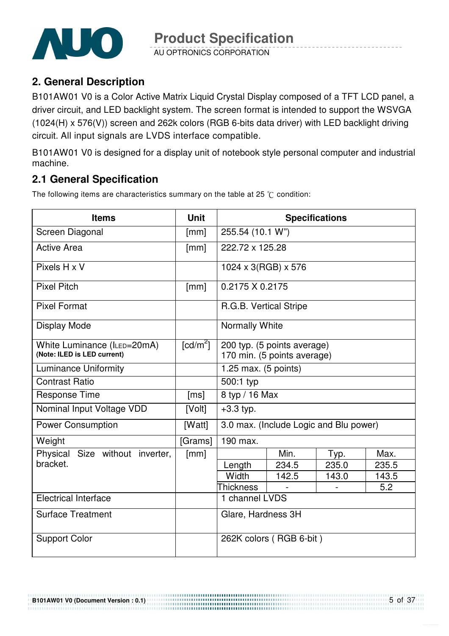

AU OPTRONICS CORPORATION

**2. General Description** 

B101AW01 V0 is a Color Active Matrix Liquid Crystal Display composed of a TFT LCD panel, a driver circuit, and LED backlight system. The screen format is intended to support the WSVGA (1024(H) x 576(V)) screen and 262k colors (RGB 6-bits data driver) with LED backlight driving circuit. All input signals are LVDS interface compatible.

B101AW01 V0 is designed for a display unit of notebook style personal computer and industrial machine.

## **2.1 General Specification**

The following items are characteristics summary on the table at 25  $\degree$ C condition:

| <b>Items</b>                                               | <b>Unit</b>            |                                                            | <b>Specifications</b>                  |       |       |  |  |
|------------------------------------------------------------|------------------------|------------------------------------------------------------|----------------------------------------|-------|-------|--|--|
| Screen Diagonal                                            | [mm]                   | 255.54 (10.1 W")                                           |                                        |       |       |  |  |
| <b>Active Area</b>                                         | [mm]                   | 222.72 x 125.28                                            |                                        |       |       |  |  |
| Pixels H x V                                               |                        | $1024 \times 3(RGB) \times 576$                            |                                        |       |       |  |  |
| <b>Pixel Pitch</b>                                         | [mm]                   | 0.2175 X 0.2175                                            |                                        |       |       |  |  |
| <b>Pixel Format</b>                                        |                        | R.G.B. Vertical Stripe                                     |                                        |       |       |  |  |
| Display Mode                                               |                        | Normally White                                             |                                        |       |       |  |  |
| White Luminance (ILED=20mA)<br>(Note: ILED is LED current) | $\lceil cd/m^2 \rceil$ | 200 typ. (5 points average)<br>170 min. (5 points average) |                                        |       |       |  |  |
| <b>Luminance Uniformity</b>                                |                        | $1.25$ max. (5 points)                                     |                                        |       |       |  |  |
| <b>Contrast Ratio</b>                                      |                        | 500:1 typ                                                  |                                        |       |       |  |  |
| <b>Response Time</b>                                       | [ms]                   | 8 typ / 16 Max                                             |                                        |       |       |  |  |
| Nominal Input Voltage VDD                                  | [Volt]                 | $+3.3$ typ.                                                |                                        |       |       |  |  |
| <b>Power Consumption</b>                                   | [Watt]                 |                                                            | 3.0 max. (Include Logic and Blu power) |       |       |  |  |
| Weight                                                     | [Grams]                | 190 max.                                                   |                                        |       |       |  |  |
| Physical Size without inverter,                            | [mm]                   |                                                            | Min.                                   | Typ.  | Max.  |  |  |
| bracket.                                                   |                        | Length                                                     | 234.5                                  | 235.0 | 235.5 |  |  |
|                                                            |                        | Width                                                      | 142.5                                  | 143.0 | 143.5 |  |  |
|                                                            |                        | <b>Thickness</b>                                           |                                        |       | 5.2   |  |  |
| <b>Electrical Interface</b>                                |                        | 1 channel LVDS                                             |                                        |       |       |  |  |
| <b>Surface Treatment</b>                                   |                        | Glare, Hardness 3H                                         |                                        |       |       |  |  |
| <b>Support Color</b>                                       |                        |                                                            | 262K colors (RGB 6-bit)                |       |       |  |  |

**B101AW01 V0 (Document Version : 0.1)**  ............................... 5 of 37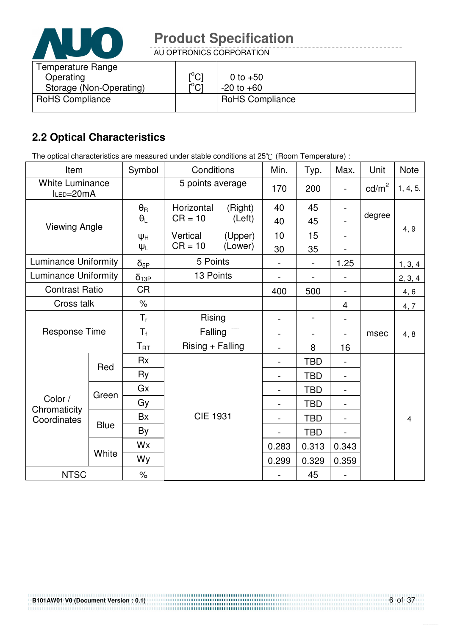

AU OPTRONICS CORPORATION

| Temperature Range<br>Operating<br>Storage (Non-Operating) | $\mathsf{I}^\circ\mathsf{Cl}$<br>$\mathsf{I}^{\circ}$ Cl | 0 to $+50$<br>$-20$ to $+60$ |
|-----------------------------------------------------------|----------------------------------------------------------|------------------------------|
| <b>RoHS Compliance</b>                                    |                                                          | <b>RoHS Compliance</b>       |

## **2.2 Optical Characteristics**

The optical characteristics are measured under stable conditions at 25°C (Room Temperature) :

| Item                                |             | Symbol           | Conditions          |         | Min.                         | Typ.           | Max.  | Unit            | <b>Note</b>    |
|-------------------------------------|-------------|------------------|---------------------|---------|------------------------------|----------------|-------|-----------------|----------------|
| <b>White Luminance</b><br>ILED=20mA |             |                  | 5 points average    |         | 170                          | 200            |       | $\text{cd/m}^2$ | 1, 4, 5.       |
| <b>Viewing Angle</b>                |             | $\theta_{\rm R}$ | Horizontal          | (Right) | 40                           | 45             |       |                 |                |
|                                     |             | $\theta_L$       | $CR = 10$<br>(Left) |         | 40                           | 45             |       | degree          |                |
|                                     |             | ΨH               | Vertical            | (Upper) | 10                           | 15             |       |                 | 4, 9           |
|                                     |             | $\Psi_L$         | $CR = 10$           | (Lower) | 30                           | 35             |       |                 |                |
| <b>Luminance Uniformity</b>         |             | $\delta_{5P}$    | 5 Points            |         |                              |                | 1.25  |                 | 1, 3, 4        |
| <b>Luminance Uniformity</b>         |             | $\delta_{13P}$   | 13 Points           |         |                              |                |       |                 | 2, 3, 4        |
| <b>Contrast Ratio</b>               |             | <b>CR</b>        |                     |         | 400                          | 500            |       |                 | 4, 6           |
| Cross talk                          |             | $\%$             |                     |         |                              |                | 4     |                 | 4, 7           |
|                                     |             | $T_r$            | Rising              |         |                              | $\blacksquare$ |       |                 |                |
| <b>Response Time</b>                |             | $T_{\rm f}$      | Falling             |         | $\blacksquare$               |                |       | msec            | 4, 8           |
|                                     |             | $T_{\rm RT}$     | Rising + Falling    |         | $\blacksquare$               | 8              | 16    |                 |                |
|                                     | Red         | <b>Rx</b>        |                     |         |                              | <b>TBD</b>     |       |                 |                |
|                                     |             | Ry               |                     |         |                              | <b>TBD</b>     |       |                 |                |
|                                     | Green       | Gx               |                     |         | $\qquad \qquad \blacksquare$ | <b>TBD</b>     |       |                 |                |
| Color /<br>Chromaticity             |             | Gy               |                     |         |                              | <b>TBD</b>     |       |                 |                |
| Coordinates                         |             | <b>Bx</b>        | <b>CIE 1931</b>     |         |                              | <b>TBD</b>     |       |                 | $\overline{4}$ |
|                                     | <b>Blue</b> | By               |                     |         |                              | <b>TBD</b>     |       |                 |                |
|                                     |             | Wx               |                     |         | 0.283                        | 0.313          | 0.343 |                 |                |
|                                     | White       | Wy               |                     |         | 0.299                        | 0.329          | 0.359 |                 |                |
| <b>NTSC</b>                         |             | $\%$             |                     |         |                              | 45             |       |                 |                |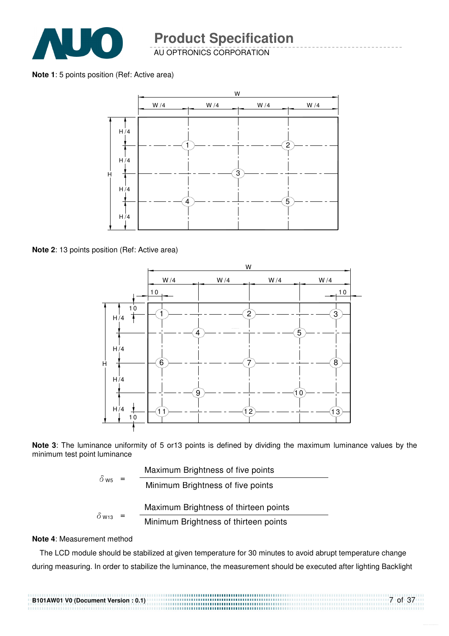

AU OPTRONICS CORPORATION

**Note 1**: 5 points position (Ref: Active area)



**Note 2**: 13 points position (Ref: Active area)



**Note 3**: The luminance uniformity of 5 or13 points is defined by dividing the maximum luminance values by the minimum test point luminance

|                          | Maximum Brightness of five points     |
|--------------------------|---------------------------------------|
| $\delta$ ws              | Minimum Brightness of five points     |
|                          | Maximum Brightness of thirteen points |
| $\delta$ W <sub>13</sub> | Minimum Brightness of thirteen points |
|                          |                                       |

#### **Note 4**: Measurement method

The LCD module should be stabilized at given temperature for 30 minutes to avoid abrupt temperature change during measuring. In order to stabilize the luminance, the measurement should be executed after lighting Backlight

7 of 37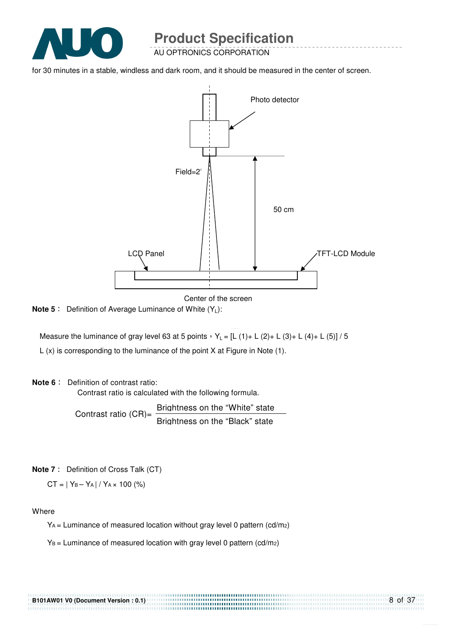

AU OPTRONICS CORPORATION

for 30 minutes in a stable, windless and dark room, and it should be measured in the center of screen.



Center of the screen

..............................

**Note 5** : Definition of Average Luminance of White (Y<sub>L</sub>):

Measure the luminance of gray level 63 at 5 points  $Y_L = [L (1) + L (2) + L (3) + L (4) + L (5)] / 5$ 

L (x) is corresponding to the luminance of the point X at Figure in Note (1).

#### **Note 6** : Definition of contrast ratio:

Contrast ratio is calculated with the following formula.

Contrast ratio  $(CR) = \frac{Briahtness on the "White" state}$ Brightness on the "Black" state

**Note 7** : Definition of Cross Talk (CT)

 $CT = |Y_B - Y_A| / Y_A \times 100$  (%)

Where

YA = Luminance of measured location without gray level 0 pattern (cd/m2)

 $Y_B =$  Luminance of measured location with gray level 0 pattern (cd/m<sub>2</sub>)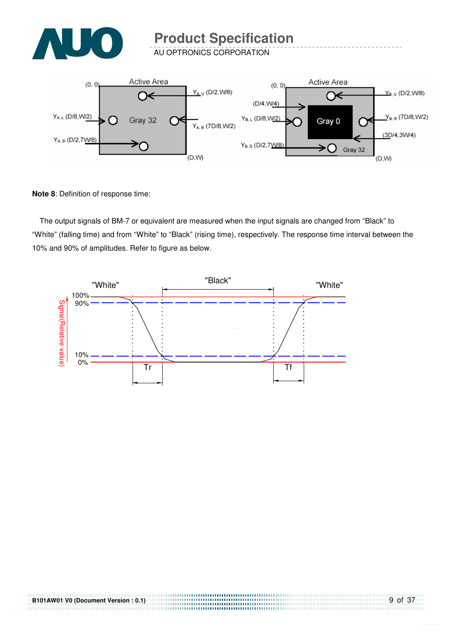

AU OPTRONICS CORPORATION



**Note 8**: Definition of response time:

The output signals of BM-7 or equivalent are measured when the input signals are changed from "Black" to "White" (falling time) and from "White" to "Black" (rising time), respectively. The response time interval between the 10% and 90% of amplitudes. Refer to figure as below.



................................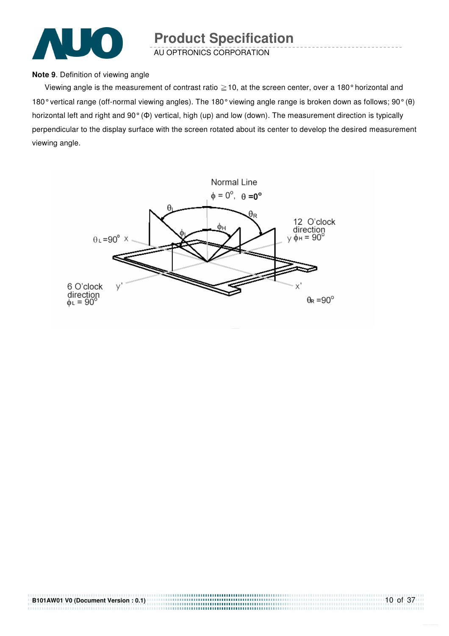

AU OPTRONICS CORPORATION

#### **Note 9**. Definition of viewing angle

Viewing angle is the measurement of contrast ratio  $\geq$  10, at the screen center, over a 180° horizontal and 180° vertical range (off-normal viewing angles). The 180° viewing angle range is broken down as follows; 90° (θ) horizontal left and right and 90° (Φ) vertical, high (up) and low (down). The measurement direction is typically perpendicular to the display surface with the screen rotated about its center to develop the desired measurement viewing angle.



**B101AW01 V0 (Document Version : 0.1)**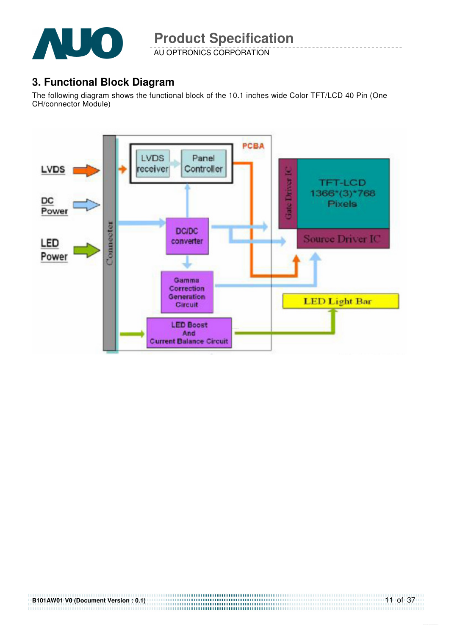

AU OPTRONICS CORPORATION

## **3. Functional Block Diagram**

The following diagram shows the functional block of the 10.1 inches wide Color TFT/LCD 40 Pin (One CH/connector Module)

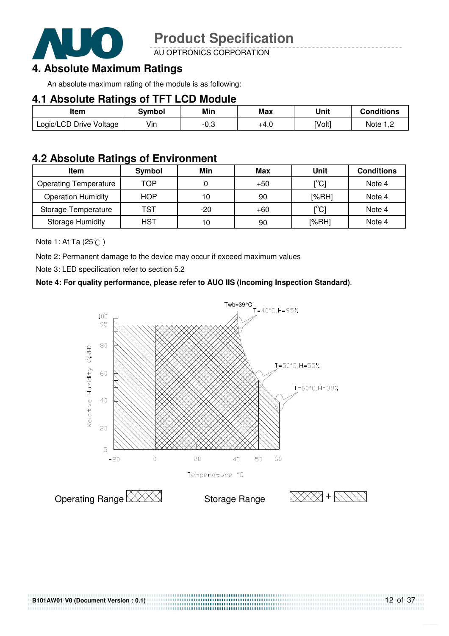

AU OPTRONICS CORPORATION

## **4. Absolute Maximum Ratings**

An absolute maximum rating of the module is as following:

#### **4.1 Absolute Ratings of TFT LCD Module**

| ltem                    | Svmbol | Min  | Max    | Unit   | <b>Conditions</b> |
|-------------------------|--------|------|--------|--------|-------------------|
| Logic/LCD Drive Voltage | Vin    | -0.3 | $+4.0$ | [Volt] | Note 1. $\degree$ |

### **4.2 Absolute Ratings of Environment**

| Item                         | Symbol     | Min   | Max   | Unit                                    | <b>Conditions</b> |
|------------------------------|------------|-------|-------|-----------------------------------------|-------------------|
| <b>Operating Temperature</b> | TOP        |       | $+50$ | $\mathsf{I}^\circ\mathsf{C} \mathsf{I}$ | Note 4            |
| <b>Operation Humidity</b>    | <b>HOP</b> | 10    | 90    | [%RH]                                   | Note 4            |
| Storage Temperature          | TST        | $-20$ | $+60$ | $\mathsf{I}^\circ\mathsf{C} \mathsf{I}$ | Note 4            |
| <b>Storage Humidity</b>      | <b>HST</b> | 10    | 90    | [%RH]                                   | Note 4            |

Note 1: At Ta (25°C)

Note 2: Permanent damage to the device may occur if exceed maximum values

Note 3: LED specification refer to section 5.2

#### **Note 4: For quality performance, please refer to AUO IIS (Incoming Inspection Standard)**.



....................................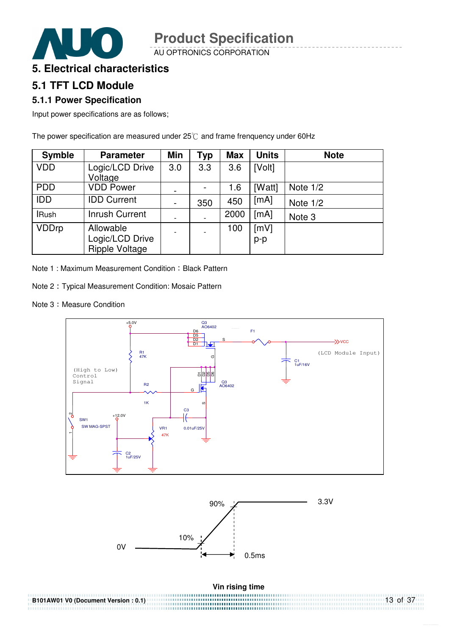AU OPTRONICS CORPORATION

## **5. Electrical characteristics**

## **5.1 TFT LCD Module**

#### **5.1.1 Power Specification**

Input power specifications are as follows;

The power specification are measured under  $25^\circ$ C and frame frenquency under 60Hz

| <b>Symble</b> | <b>Parameter</b>                                      | <b>Min</b>               | Typ | <b>Max</b> | <b>Units</b> | <b>Note</b> |
|---------------|-------------------------------------------------------|--------------------------|-----|------------|--------------|-------------|
| <b>VDD</b>    | Logic/LCD Drive<br>Voltage                            | 3.0                      | 3.3 | 3.6        | [Volt]       |             |
| <b>PDD</b>    | <b>VDD Power</b>                                      | $\overline{\phantom{a}}$ |     | 1.6        | [Watt]       | Note $1/2$  |
| <b>IDD</b>    | <b>IDD Current</b>                                    | $\overline{\phantom{a}}$ | 350 | 450        | [mA]         | Note $1/2$  |
| <b>IRush</b>  | <b>Inrush Current</b>                                 |                          |     | 2000       | [mA]         | Note 3      |
| <b>VDDrp</b>  | Allowable<br>Logic/LCD Drive<br><b>Ripple Voltage</b> |                          |     | 100        | [mV]<br>p-p  |             |

Note 1 : Maximum Measurement Condition : Black Pattern

- Note 2: Typical Measurement Condition: Mosaic Pattern
- Note 3: Measure Condition

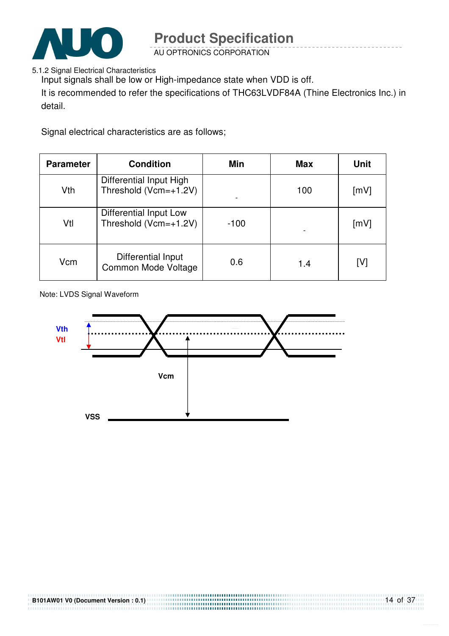

AU OPTRONICS CORPORATION

5.1.2 Signal Electrical Characteristics

Input signals shall be low or High-impedance state when VDD is off.

It is recommended to refer the specifications of THC63LVDF84A (Thine Electronics Inc.) in detail.

Signal electrical characteristics are as follows;

| <b>Parameter</b> | <b>Condition</b>                                 | Min    | <b>Max</b> | Unit               |
|------------------|--------------------------------------------------|--------|------------|--------------------|
| Vth              | Differential Input High<br>Threshold (Vcm=+1.2V) |        | 100        | [mV]               |
| Vtl              | Differential Input Low<br>Threshold (Vcm=+1.2V)  | $-100$ |            | $\lceil mV \rceil$ |
| Vcm              | Differential Input<br>Common Mode Voltage        | 0.6    | 1.4        | [V]                |

Note: LVDS Signal Waveform



......................................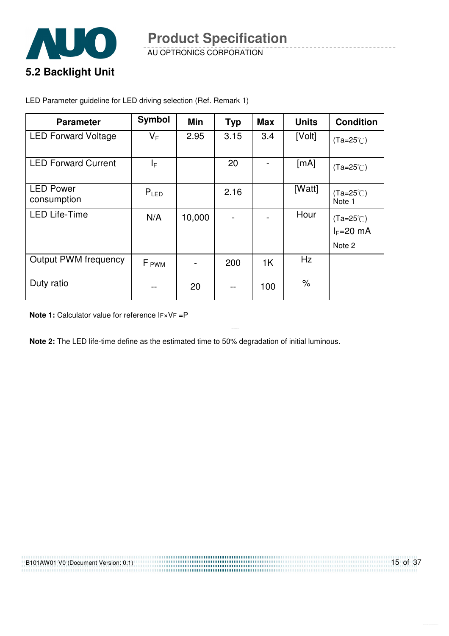

AU OPTRONICS CORPORATION

LED Parameter guideline for LED driving selection (Ref. Remark 1)

| <b>Parameter</b>                | <b>Symbol</b>    | Min    | <b>Typ</b> | <b>Max</b>     | <b>Units</b> | <b>Condition</b>                            |
|---------------------------------|------------------|--------|------------|----------------|--------------|---------------------------------------------|
| <b>LED Forward Voltage</b>      | $V_F$            | 2.95   | 3.15       | 3.4            | [Volt]       | $(Ta=25^{\circ}C)$                          |
| <b>LED Forward Current</b>      | I⊧               |        | 20         |                | [mA]         | $(Ta=25^{\circ}C)$                          |
| <b>LED Power</b><br>consumption | $P_{LED}$        |        | 2.16       |                | [Watt]       | $(Ta=25^{\circ}C)$<br>Note 1                |
| <b>LED Life-Time</b>            | N/A              | 10,000 |            |                | Hour         | $(Ta=25^{\circ}C)$<br>$I_F=20$ mA<br>Note 2 |
| <b>Output PWM frequency</b>     | F <sub>PWM</sub> |        | 200        | 1 <sup>K</sup> | Hz           |                                             |
| Duty ratio                      |                  | 20     |            | 100            | $\%$         |                                             |

**Note 1:** Calculator value for reference IF×VF =P

**Note 2:** The LED life-time define as the estimated time to 50% degradation of initial luminous.

| B101AW01 V0 (Document Version: 0.1) | $15$ of 37 |
|-------------------------------------|------------|
|                                     |            |
|                                     |            |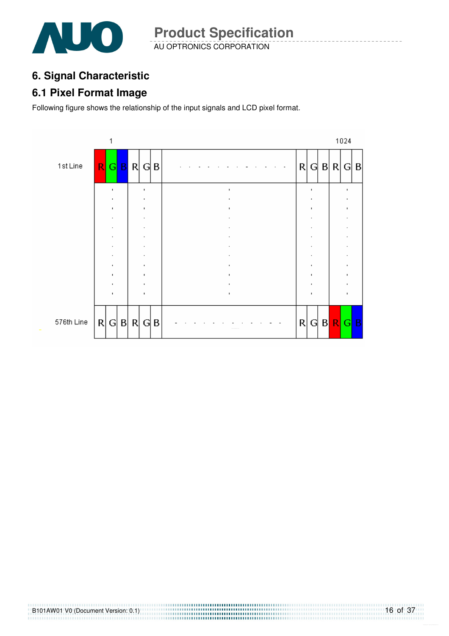

AU OPTRONICS CORPORATION **Product Specification** 

## **6. Signal Characteristic**

### **6.1 Pixel Format Image**

Following figure shows the relationship of the input signals and LCD pixel format.

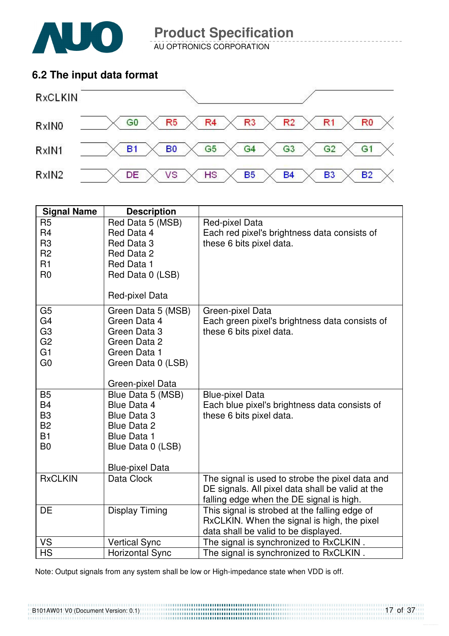

AU OPTRONICS CORPORATION

## **6.2 The input data format**



| <b>Signal Name</b>                                                                           | <b>Description</b>                                                                                                                                       |                                                                                                                                                 |
|----------------------------------------------------------------------------------------------|----------------------------------------------------------------------------------------------------------------------------------------------------------|-------------------------------------------------------------------------------------------------------------------------------------------------|
| R <sub>5</sub><br>R <sub>4</sub><br>R <sub>3</sub><br>R <sub>2</sub><br>R1<br>R <sub>0</sub> | Red Data 5 (MSB)<br>Red Data 4<br>Red Data 3<br>Red Data 2<br>Red Data 1<br>Red Data 0 (LSB)                                                             | Red-pixel Data<br>Each red pixel's brightness data consists of<br>these 6 bits pixel data.                                                      |
| G <sub>5</sub>                                                                               | Red-pixel Data<br>Green Data 5 (MSB)                                                                                                                     | Green-pixel Data                                                                                                                                |
| G <sub>4</sub><br>G <sub>3</sub><br>G <sub>2</sub><br>G1<br>G <sub>0</sub>                   | Green Data 4<br>Green Data 3<br>Green Data 2<br>Green Data 1<br>Green Data 0 (LSB)                                                                       | Each green pixel's brightness data consists of<br>these 6 bits pixel data.                                                                      |
|                                                                                              | Green-pixel Data                                                                                                                                         |                                                                                                                                                 |
| <b>B5</b><br><b>B4</b><br>B <sub>3</sub><br><b>B2</b><br><b>B1</b><br>B <sub>0</sub>         | Blue Data 5 (MSB)<br><b>Blue Data 4</b><br><b>Blue Data 3</b><br><b>Blue Data 2</b><br><b>Blue Data 1</b><br>Blue Data 0 (LSB)<br><b>Blue-pixel Data</b> | <b>Blue-pixel Data</b><br>Each blue pixel's brightness data consists of<br>these 6 bits pixel data.                                             |
| <b>RxCLKIN</b>                                                                               | Data Clock                                                                                                                                               | The signal is used to strobe the pixel data and<br>DE signals. All pixel data shall be valid at the<br>falling edge when the DE signal is high. |
| <b>DE</b>                                                                                    | <b>Display Timing</b>                                                                                                                                    | This signal is strobed at the falling edge of<br>RxCLKIN. When the signal is high, the pixel<br>data shall be valid to be displayed.            |
| VS                                                                                           | <b>Vertical Sync</b>                                                                                                                                     | The signal is synchronized to RxCLKIN.                                                                                                          |
| <b>HS</b>                                                                                    | <b>Horizontal Sync</b>                                                                                                                                   | The signal is synchronized to RxCLKIN.                                                                                                          |

Note: Output signals from any system shall be low or High-impedance state when VDD is off.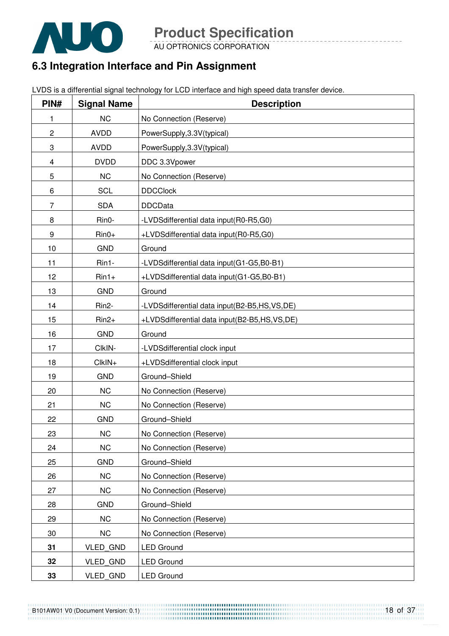

AU OPTRONICS CORPORATION

## **6.3 Integration Interface and Pin Assignment**

LVDS is a differential signal technology for LCD interface and high speed data transfer device.

| PIN#           | <b>Signal Name</b> | <b>Description</b>                           |
|----------------|--------------------|----------------------------------------------|
| 1              | <b>NC</b>          | No Connection (Reserve)                      |
| $\overline{c}$ | <b>AVDD</b>        | PowerSupply, 3.3V(typical)                   |
| 3              | <b>AVDD</b>        | PowerSupply, 3.3V(typical)                   |
| 4              | <b>DVDD</b>        | DDC 3.3Vpower                                |
| 5              | <b>NC</b>          | No Connection (Reserve)                      |
| 6              | <b>SCL</b>         | <b>DDCClock</b>                              |
| $\overline{7}$ | <b>SDA</b>         | <b>DDCData</b>                               |
| 8              | Rin0-              | -LVDSdifferential data input(R0-R5,G0)       |
| 9              | $Rin0+$            | +LVDSdifferential data input(R0-R5,G0)       |
| 10             | <b>GND</b>         | Ground                                       |
| 11             | Rin1-              | -LVDSdifferential data input(G1-G5,B0-B1)    |
| 12             | $Rin1+$            | +LVDSdifferential data input(G1-G5,B0-B1)    |
| 13             | <b>GND</b>         | Ground                                       |
| 14             | Rin2-              | -LVDSdifferential data input(B2-B5,HS,VS,DE) |
| 15             | $Rin2+$            | +LVDSdifferential data input(B2-B5,HS,VS,DE) |
| 16             | <b>GND</b>         | Ground                                       |
| 17             | CIkIN-             | -LVDSdifferential clock input                |
| 18             | CIkIN+             | +LVDSdifferential clock input                |
| 19             | <b>GND</b>         | Ground-Shield                                |
| 20             | <b>NC</b>          | No Connection (Reserve)                      |
| 21             | <b>NC</b>          | No Connection (Reserve)                      |
| 22             | <b>GND</b>         | Ground-Shield                                |
| 23             | <b>NC</b>          | No Connection (Reserve)                      |
| 24             | <b>NC</b>          | No Connection (Reserve)                      |
| 25             | <b>GND</b>         | Ground-Shield                                |
| 26             | NC                 | No Connection (Reserve)                      |
| 27             | NC                 | No Connection (Reserve)                      |
| 28             | <b>GND</b>         | Ground-Shield                                |
| 29             | <b>NC</b>          | No Connection (Reserve)                      |
| 30             | <b>NC</b>          | No Connection (Reserve)                      |
| 31             | <b>VLED GND</b>    | <b>LED Ground</b>                            |
| 32             | <b>VLED GND</b>    | <b>LED Ground</b>                            |
| 33             | <b>VLED GND</b>    | <b>LED Ground</b>                            |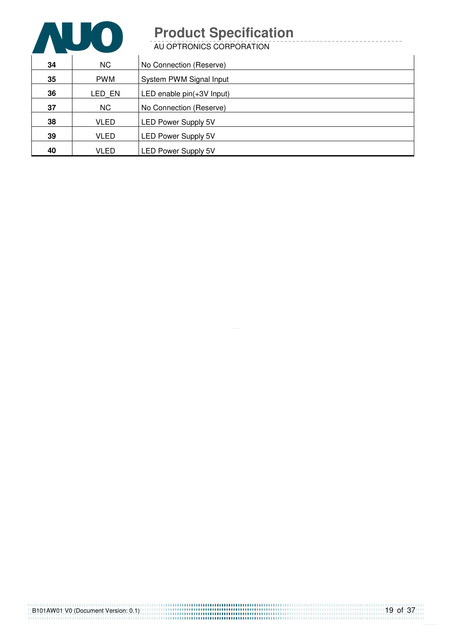

| 34 | <b>NC</b>   | No Connection (Reserve)    |
|----|-------------|----------------------------|
| 35 | <b>PWM</b>  | System PWM Signal Input    |
| 36 | LED EN      | LED enable pin(+3V Input)  |
| 37 | <b>NC</b>   | No Connection (Reserve)    |
| 38 | <b>VLED</b> | <b>LED Power Supply 5V</b> |
| 39 | <b>VLED</b> | <b>LED Power Supply 5V</b> |
| 40 | VLED        | <b>LED Power Supply 5V</b> |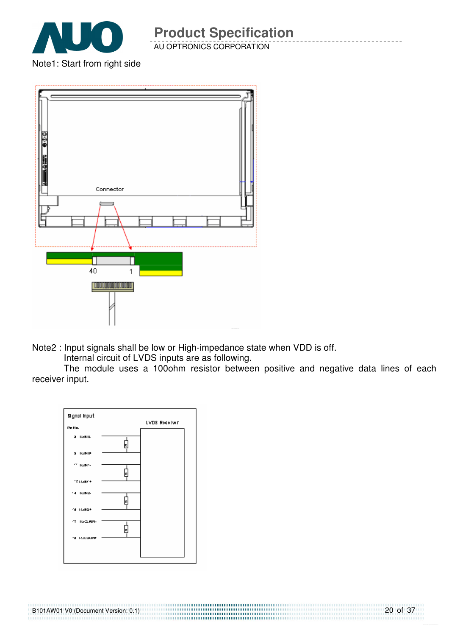

AU OPTRONICS CORPORATION

Note1: Start from right side



Note2 : Input signals shall be low or High-impedance state when VDD is off.

Internal circuit of LVDS inputs are as following.

The module uses a 100ohm resistor between positive and negative data lines of each receiver input.

20 of 37



B101AW01 V0 (Document Version: 0.1)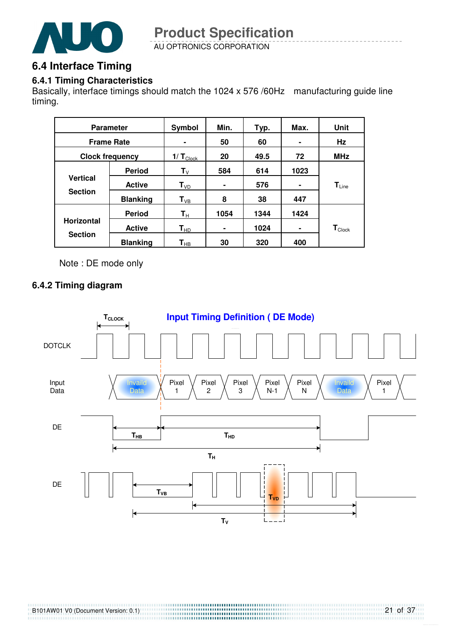

AU OPTRONICS CORPORATION **Product Specification** 

## **6.4 Interface Timing**

#### **6.4.1 Timing Characteristics**

Basically, interface timings should match the 1024 x 576 /60Hz manufacturing guide line timing.

|                                     | <b>Parameter</b> | Symbol                     | Min. | Typ. | Max. | Unit                          |
|-------------------------------------|------------------|----------------------------|------|------|------|-------------------------------|
| <b>Frame Rate</b>                   |                  |                            | 50   | 60   |      | Hz                            |
| <b>Clock frequency</b>              |                  | $1/T_{\text{Clock}}$       | 20   | 49.5 | 72   | <b>MHz</b>                    |
|                                     | <b>Period</b>    | $\mathsf{T}_{\mathsf{V}}$  | 584  | 614  | 1023 |                               |
| <b>Vertical</b><br><b>Section</b>   | <b>Active</b>    | $T_{VD}$                   | ۰    | 576  | ۰    | $T_{Line}$                    |
|                                     | <b>Blanking</b>  | $T_{VB}$                   | 8    | 38   | 447  |                               |
|                                     | <b>Period</b>    | $\mathbf{T}_{\mathsf{H}}$  | 1054 | 1344 | 1424 |                               |
| <b>Horizontal</b><br><b>Section</b> | <b>Active</b>    | $T_{HD}$                   | ۰    | 1024 | ۰    | $\mathsf{T}_{\mathsf{Clock}}$ |
|                                     | <b>Blanking</b>  | $\mathsf{T}_{\mathsf{HB}}$ | 30   | 320  | 400  |                               |

Note : DE mode only

#### **6.4.2 Timing diagram**

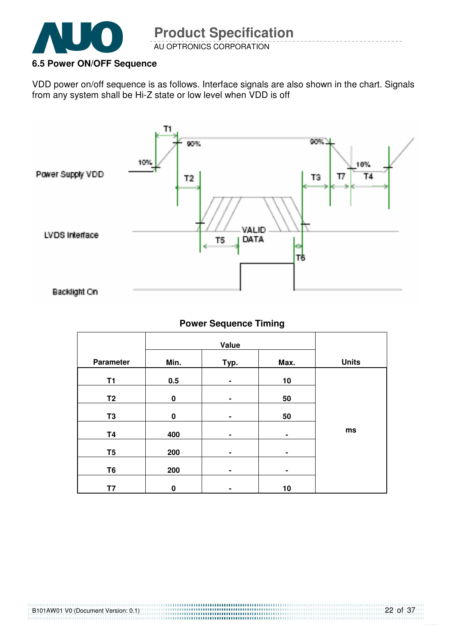

#### **6.5 Power ON/OFF Sequence**

VDD power on/off sequence is as follows. Interface signals are also shown in the chart. Signals from any system shall be Hi-Z state or low level when VDD is off



#### **Power Sequence Timing**

| <b>Parameter</b> | Min.     | Typ. | Max. | <b>Units</b> |
|------------------|----------|------|------|--------------|
| <b>T1</b>        | 0.5      | ۰    | 10   |              |
| T <sub>2</sub>   | $\bf{0}$ | ۰    | 50   |              |
| T <sub>3</sub>   | $\bf{0}$ | ۰    | 50   |              |
| <b>T4</b>        | 400      | ۰    | ٠    | ms           |
| T <sub>5</sub>   | 200      | ۰    | ۰    |              |
| T <sub>6</sub>   | 200      | ۰    | ٠    |              |
| T7               | $\bf{0}$ | ۰    | 10   |              |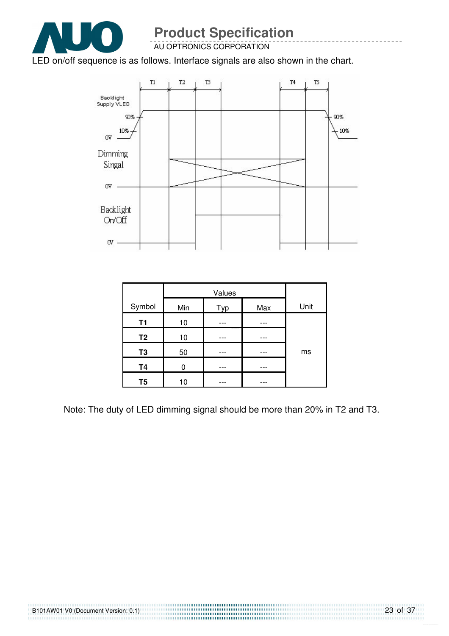

AU OPTRONICS CORPORATION

#### LED on/off sequence is as follows. Interface signals are also shown in the chart.



| Symbol         | Min | Typ | Max | Unit |
|----------------|-----|-----|-----|------|
| <b>T1</b>      | 10  |     |     |      |
| T <sub>2</sub> | 10  |     |     |      |
| T <sub>3</sub> | 50  |     |     | ms   |
| <b>T4</b>      |     |     |     |      |
| T <sub>5</sub> | 10  |     |     |      |

Note: The duty of LED dimming signal should be more than 20% in T2 and T3.

23 of 37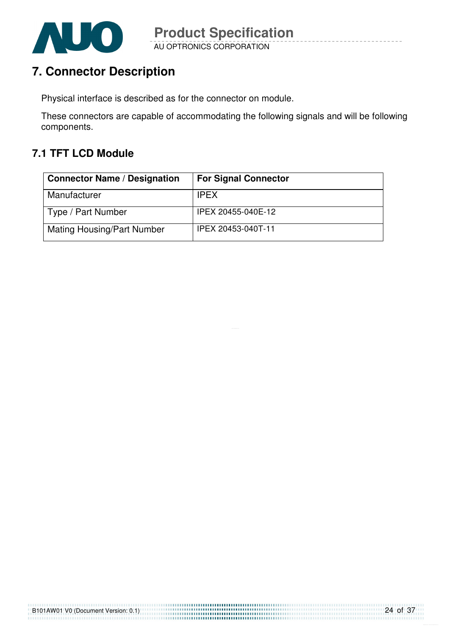

# **7. Connector Description**

Physical interface is described as for the connector on module.

These connectors are capable of accommodating the following signals and will be following components.

## **7.1 TFT LCD Module**

| <b>Connector Name / Designation</b> | <b>For Signal Connector</b> |
|-------------------------------------|-----------------------------|
| Manufacturer                        | <b>IPEX</b>                 |
| Type / Part Number                  | IPEX 20455-040E-12          |
| <b>Mating Housing/Part Number</b>   | IPEX 20453-040T-11          |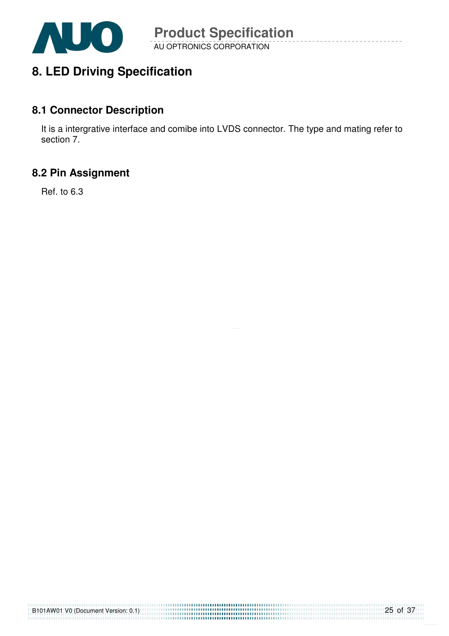

## **8. LED Driving Specification**

### **8.1 Connector Description**

It is a intergrative interface and comibe into LVDS connector. The type and mating refer to section 7.

## **8.2 Pin Assignment**

Ref. to 6.3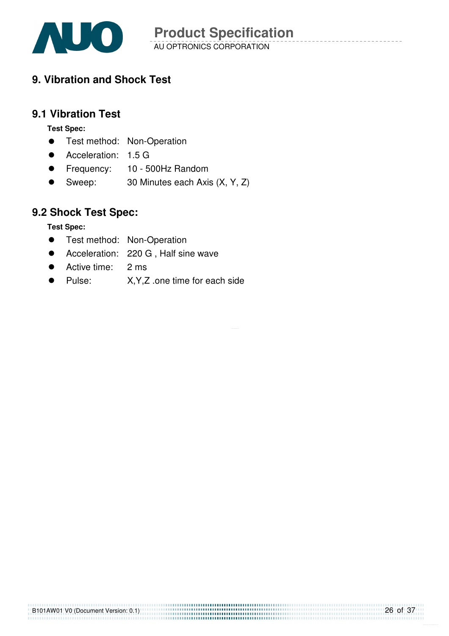

## **9. Vibration and Shock Test**

### **9.1 Vibration Test**

**Test Spec:** 

- **•** Test method: Non-Operation
- Acceleration: 1.5 G
- **•** Frequency: 10 500Hz Random
- Sweep: 30 Minutes each Axis (X, Y, Z)

## **9.2 Shock Test Spec:**

**Test Spec:** 

- **•** Test method: Non-Operation
- Acceleration: 220 G, Half sine wave
- Active time: 2 ms
- Pulse: X,Y,Z .one time for each side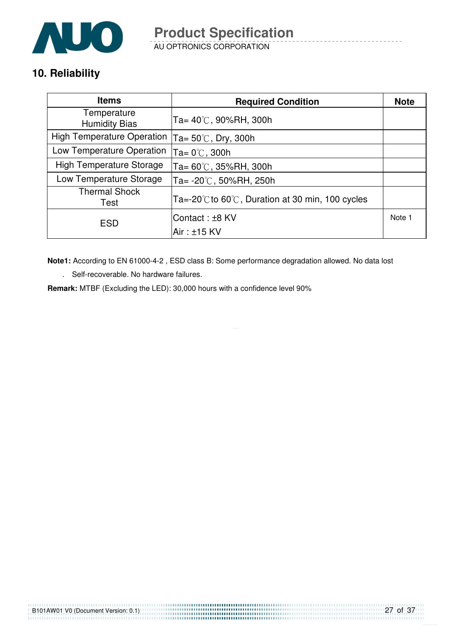

AU OPTRONICS CORPORATION

## **10. Reliability**

| <b>Items</b>                        | <b>Required Condition</b>                                            | <b>Note</b> |
|-------------------------------------|----------------------------------------------------------------------|-------------|
| Temperature<br><b>Humidity Bias</b> | Ta= $40^{\circ}$ C, 90%RH, 300h                                      |             |
| <b>High Temperature Operation</b>   | Ta= $50^{\circ}$ C, Dry, 300h                                        |             |
| Low Temperature Operation           | Ta= $0^{\circ}$ C, 300h                                              |             |
| <b>High Temperature Storage</b>     | 'Ta= 60℃, 35%RH, 300h                                                |             |
| Low Temperature Storage             | Ta= $-20^{\circ}$ C, 50%RH, 250h                                     |             |
| <b>Thermal Shock</b><br>Test        | Ta=-20 $\degree$ C to 60 $\degree$ C, Duration at 30 min, 100 cycles |             |
| <b>ESD</b>                          | Contact: ±8 KV                                                       | Note 1      |
|                                     | $Air : ±15$ KV                                                       |             |

**Note1:** According to EN 61000-4-2 , ESD class B: Some performance degradation allowed. No data lost

. Self-recoverable. No hardware failures.

**Remark:** MTBF (Excluding the LED): 30,000 hours with a confidence level 90%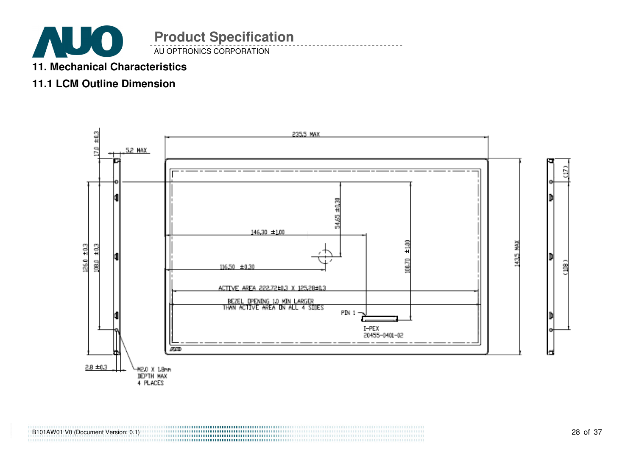

## **11. Mechanical Characteristics**

## **11.1 LCM Outline Dimension**

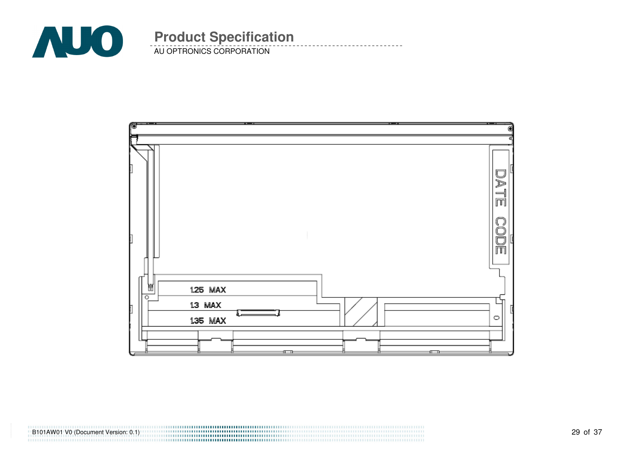

AU OPTRONICS CORPORATION **Product Specification** 

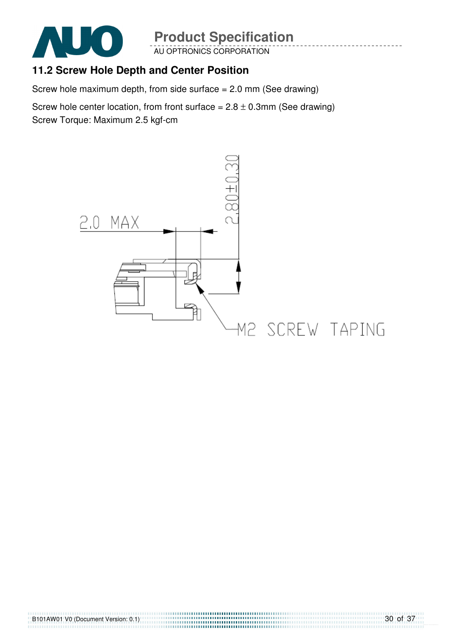

AU OPTRONICS CORPORATION

## **11.2 Screw Hole Depth and Center Position**

Screw hole maximum depth, from side surface = 2.0 mm (See drawing)

Screw hole center location, from front surface =  $2.8 \pm 0.3$ mm (See drawing) Screw Torque: Maximum 2.5 kgf-cm



,,,,,,,,,,,,,,,,,,,,,,,,,,,,,,,,,,,,,,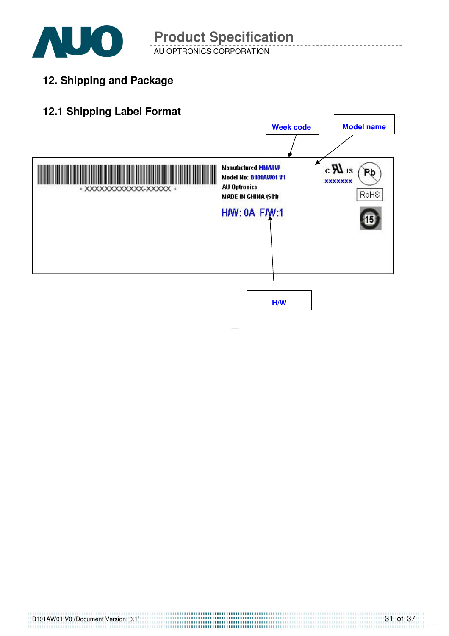

AU OPTRONICS CORPORATION

**12. Shipping and Package**

## **12.1 Shipping Label Format**

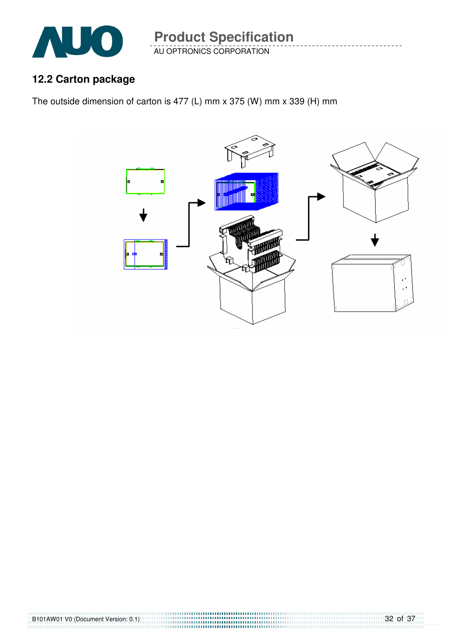

AU OPTRONICS CORPORATION

## **12.2 Carton package**

The outside dimension of carton is 477 (L) mm x 375 (W) mm x 339 (H) mm

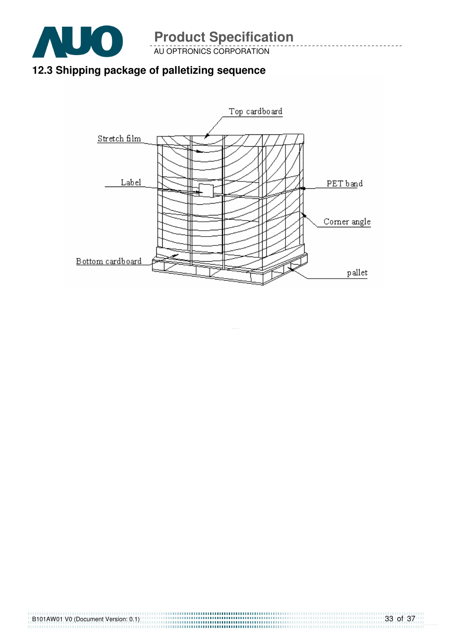

AU OPTRONICS CORPORATION

# **12.3 Shipping package of palletizing sequence**

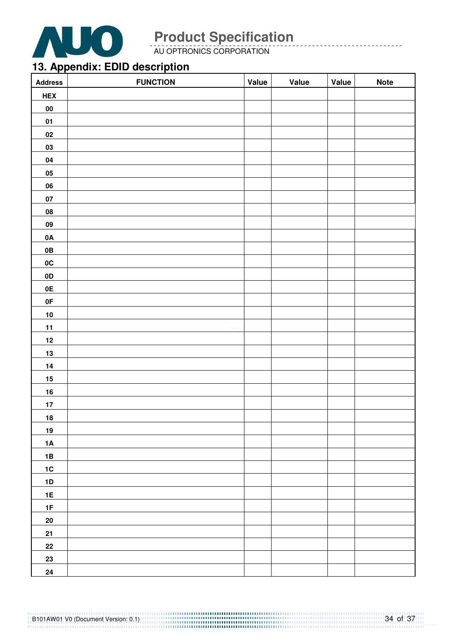

AU OPTRONICS CORPORATION

## **13. Appendix: EDID description**

| <b>Address</b> | <b>FUNCTION</b> | Value | Value | Value | <b>Note</b> |
|----------------|-----------------|-------|-------|-------|-------------|
| <b>HEX</b>     |                 |       |       |       |             |
| 00             |                 |       |       |       |             |
| 01             |                 |       |       |       |             |
| 02             |                 |       |       |       |             |
| 03             |                 |       |       |       |             |
| 04             |                 |       |       |       |             |
| 05             |                 |       |       |       |             |
| 06             |                 |       |       |       |             |
| 07             |                 |       |       |       |             |
| 08             |                 |       |       |       |             |
| ${\bf 09}$     |                 |       |       |       |             |
| 0A             |                 |       |       |       |             |
| 0B             |                 |       |       |       |             |
| 0C             |                 |       |       |       |             |
| 0D             |                 |       |       |       |             |
| 0E             |                 |       |       |       |             |
| 0F             |                 |       |       |       |             |
| 10             |                 |       |       |       |             |
| 11             |                 |       |       |       |             |
| $12$           |                 |       |       |       |             |
| $\frac{13}{1}$ |                 |       |       |       |             |
| $14$           |                 |       |       |       |             |
| 15             |                 |       |       |       |             |
| 16             |                 |       |       |       |             |
| 17             |                 |       |       |       |             |
| 18             |                 |       |       |       |             |
| 19             |                 |       |       |       |             |
| 1A             |                 |       |       |       |             |
| 1B             |                 |       |       |       |             |
| $1C$           |                 |       |       |       |             |
| $1\text{D}$    |                 |       |       |       |             |
| 1E             |                 |       |       |       |             |
| 1F             |                 |       |       |       |             |
| 20             |                 |       |       |       |             |
| 21             |                 |       |       |       |             |
| ${\bf 22}$     |                 |       |       |       |             |
| 23             |                 |       |       |       |             |
| 24             |                 |       |       |       |             |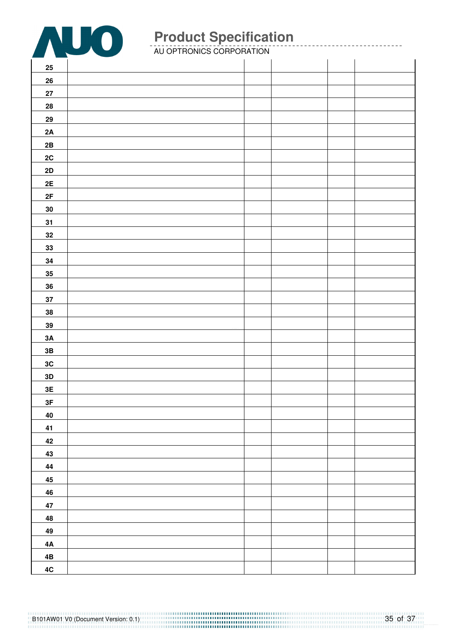

| $25\,$        |  |  |  |
|---------------|--|--|--|
| 26            |  |  |  |
| ${\bf 27}$    |  |  |  |
| ${\bf 28}$    |  |  |  |
| ${\bf 29}$    |  |  |  |
| 2A            |  |  |  |
| $2\mathsf{B}$ |  |  |  |
| 2C            |  |  |  |
| 2D            |  |  |  |
| 2E            |  |  |  |
| 2F            |  |  |  |
| ${\bf 30}$    |  |  |  |
| 31            |  |  |  |
| $32\,$        |  |  |  |
| 33            |  |  |  |
| 34            |  |  |  |
| 35            |  |  |  |
| ${\bf 36}$    |  |  |  |
| 37            |  |  |  |
| 38            |  |  |  |
| $39\,$        |  |  |  |
| 3A            |  |  |  |
| 3B            |  |  |  |
| 3C            |  |  |  |
| $3D$          |  |  |  |
| $3\mathsf{E}$ |  |  |  |
| $3\textrm{F}$ |  |  |  |
| 40            |  |  |  |
| 41            |  |  |  |
| 42            |  |  |  |
| 43            |  |  |  |
| 44            |  |  |  |
| 45            |  |  |  |
| 46            |  |  |  |
| 47            |  |  |  |
| 48            |  |  |  |
| 49            |  |  |  |
| 4A            |  |  |  |
| 4B            |  |  |  |
| 4C            |  |  |  |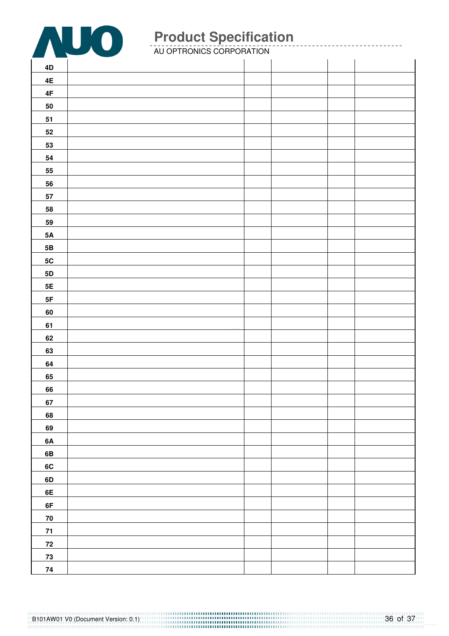

| 4D            |  |  |  |
|---------------|--|--|--|
| 4E            |  |  |  |
| $4\mathsf{F}$ |  |  |  |
| ${\bf 50}$    |  |  |  |
| 51            |  |  |  |
| 52            |  |  |  |
| 53            |  |  |  |
| 54            |  |  |  |
| 55            |  |  |  |
| 56            |  |  |  |
| 57            |  |  |  |
| 58            |  |  |  |
| 59            |  |  |  |
| $5\mathsf{A}$ |  |  |  |
| 5B            |  |  |  |
| $5{\rm C}$    |  |  |  |
| 5D            |  |  |  |
| $5\mathsf{E}$ |  |  |  |
| $5\mathsf{F}$ |  |  |  |
| 60            |  |  |  |
| 61            |  |  |  |
| 62            |  |  |  |
| 63            |  |  |  |
| 64            |  |  |  |
| 65            |  |  |  |
| 66            |  |  |  |
| 67            |  |  |  |
| 68            |  |  |  |
| 69            |  |  |  |
| 6A            |  |  |  |
| 6B            |  |  |  |
| 6C            |  |  |  |
| 6D            |  |  |  |
| 6E            |  |  |  |
| 6F            |  |  |  |
| 70            |  |  |  |
| 71            |  |  |  |
| $\bf 72$      |  |  |  |
| 73            |  |  |  |
| 74            |  |  |  |